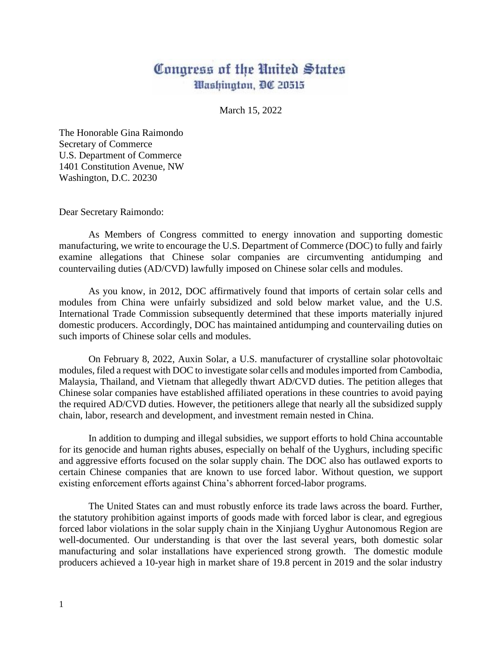## Congress of the United States Washington, DC 20515

March 15, 2022

The Honorable Gina Raimondo Secretary of Commerce U.S. Department of Commerce 1401 Constitution Avenue, NW Washington, D.C. 20230

Dear Secretary Raimondo:

As Members of Congress committed to energy innovation and supporting domestic manufacturing, we write to encourage the U.S. Department of Commerce (DOC) to fully and fairly examine allegations that Chinese solar companies are circumventing antidumping and countervailing duties (AD/CVD) lawfully imposed on Chinese solar cells and modules.

As you know, in 2012, DOC affirmatively found that imports of certain solar cells and modules from China were unfairly subsidized and sold below market value, and the U.S. International Trade Commission subsequently determined that these imports materially injured domestic producers. Accordingly, DOC has maintained antidumping and countervailing duties on such imports of Chinese solar cells and modules.

On February 8, 2022, Auxin Solar, a U.S. manufacturer of crystalline solar photovoltaic modules, filed a request with DOC to investigate solar cells and modules imported from Cambodia, Malaysia, Thailand, and Vietnam that allegedly thwart AD/CVD duties. The petition alleges that Chinese solar companies have established affiliated operations in these countries to avoid paying the required AD/CVD duties. However, the petitioners allege that nearly all the subsidized supply chain, labor, research and development, and investment remain nested in China.

In addition to dumping and illegal subsidies, we support efforts to hold China accountable for its genocide and human rights abuses, especially on behalf of the Uyghurs, including specific and aggressive efforts focused on the solar supply chain. The DOC also has outlawed exports to certain Chinese companies that are known to use forced labor. Without question, we support existing enforcement efforts against China's abhorrent forced-labor programs.

The United States can and must robustly enforce its trade laws across the board. Further, the statutory prohibition against imports of goods made with forced labor is clear, and egregious forced labor violations in the solar supply chain in the Xinjiang Uyghur Autonomous Region are well-documented. Our understanding is that over the last several years, both domestic solar manufacturing and solar installations have experienced strong growth. The domestic module producers achieved a 10-year high in market share of 19.8 percent in 2019 and the solar industry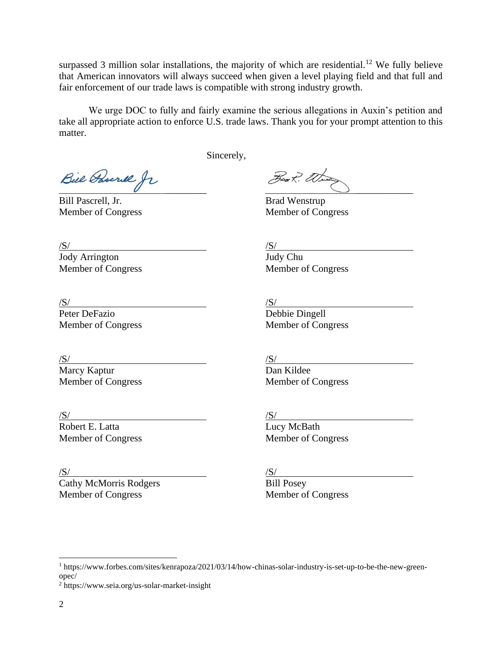surpassed 3 million solar installations, the majority of which are residential.<sup>12</sup> We fully believe that American innovators will always succeed when given a level playing field and that full and fair enforcement of our trade laws is compatible with strong industry growth.

We urge DOC to fully and fairly examine the serious allegations in Auxin's petition and take all appropriate action to enforce U.S. trade laws. Thank you for your prompt attention to this matter.

Sincerely,

Bill Pascrill fr

Bill Pascrell, Jr. Brad Wenstrup Member of Congress Member of Congress

 $\sqrt{S}$ / $\sqrt{S}$ /

Jody Arrington Judy Chu Member of Congress Member of Congress

 $/S/$  $\frac{S}{\text{Peter Defazio}}$   $\frac{S}{\text{Debbie Dingell}}$ 

Member of Congress Member of Congress

 $\sqrt{S}$ / $\sqrt{S}$ /

Marcy Kaptur **Dan Kildee** 

 $\sqrt{S}$ / $\sqrt{S}$ /

Robert E. Latta Lucy McBath

 $\sqrt{S}$ / $\sqrt{S}$ /

Cathy McMorris Rodgers Bill Posey Member of Congress Member of Congress

Member of Congress Member of Congress

Member of Congress Member of Congress

<sup>&</sup>lt;sup>1</sup> https://www.forbes.com/sites/kenrapoza/2021/03/14/how-chinas-solar-industry-is-set-up-to-be-the-new-greenopec/

<sup>2</sup> https://www.seia.org/us-solar-market-insight